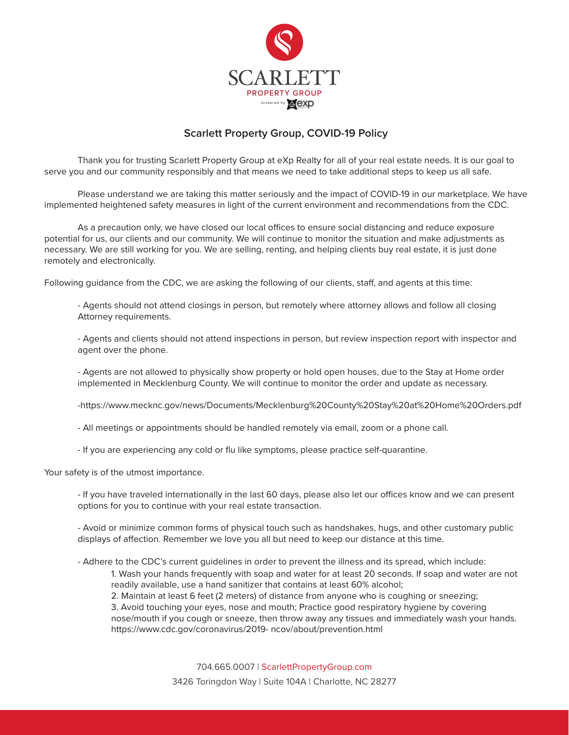

## **Scarlett Property Group, COVID-19 Policy**

Thank you for trusting Scarlett Property Group at eXp Realty for all of your real estate needs. It is our goal to serve you and our community responsibly and that means we need to take additional steps to keep us all safe.

 Please understand we are taking this matter seriously and the impact of COVID-19 in our marketplace. We have implemented heightened safety measures in light of the current environment and recommendations from the CDC.

As a precaution only, we have closed our local offices to ensure social distancing and reduce exposure potential for us, our clients and our community. We will continue to monitor the situation and make adjustments as necessary. We are still working for you. We are selling, renting, and helping clients buy real estate, it is just done remotely and electronically.

Following guidance from the CDC, we are asking the following of our clients, staff, and agents at this time:

 - Agents should not attend closings in person, but remotely where attorney allows and follow all closing Attorney requirements.

 - Agents and clients should not attend inspections in person, but review inspection report with inspector and agent over the phone.

 - Agents are not allowed to physically show property or hold open houses, due to the Stay at Home order implemented in Mecklenburg County. We will continue to monitor the order and update as necessary.

-https://www.mecknc.gov/news/Documents/Mecklenburg%20County%20Stay%20at%20Home%20Orders.pdf

- All meetings or appointments should be handled remotely via email, zoom or a phone call.

- If you are experiencing any cold or flu like symptoms, please practice self-quarantine.

Your safety is of the utmost importance.

- If you have traveled internationally in the last 60 days, please also let our offices know and we can present options for you to continue with your real estate transaction.

 - Avoid or minimize common forms of physical touch such as handshakes, hugs, and other customary public displays of affection. Remember we love you all but need to keep our distance at this time.

- Adhere to the CDC's current guidelines in order to prevent the illness and its spread, which include:

 1. Wash your hands frequently with soap and water for at least 20 seconds. If soap and water are not readily available, use a hand sanitizer that contains at least 60% alcohol;

2. Maintain at least 6 feet (2 meters) of distance from anyone who is coughing or sneezing;

3. Avoid touching your eyes, nose and mouth; Practice good respiratory hygiene by covering

 nose/mouth if you cough or sneeze, then throw away any tissues and immediately wash your hands. https://www.cdc.gov/coronavirus/2019- ncov/about/prevention.html

704.665.0007 | ScarlettPropertyGroup.com

3426 Toringdon Way | Suite 104A | Charlotte, NC 28277